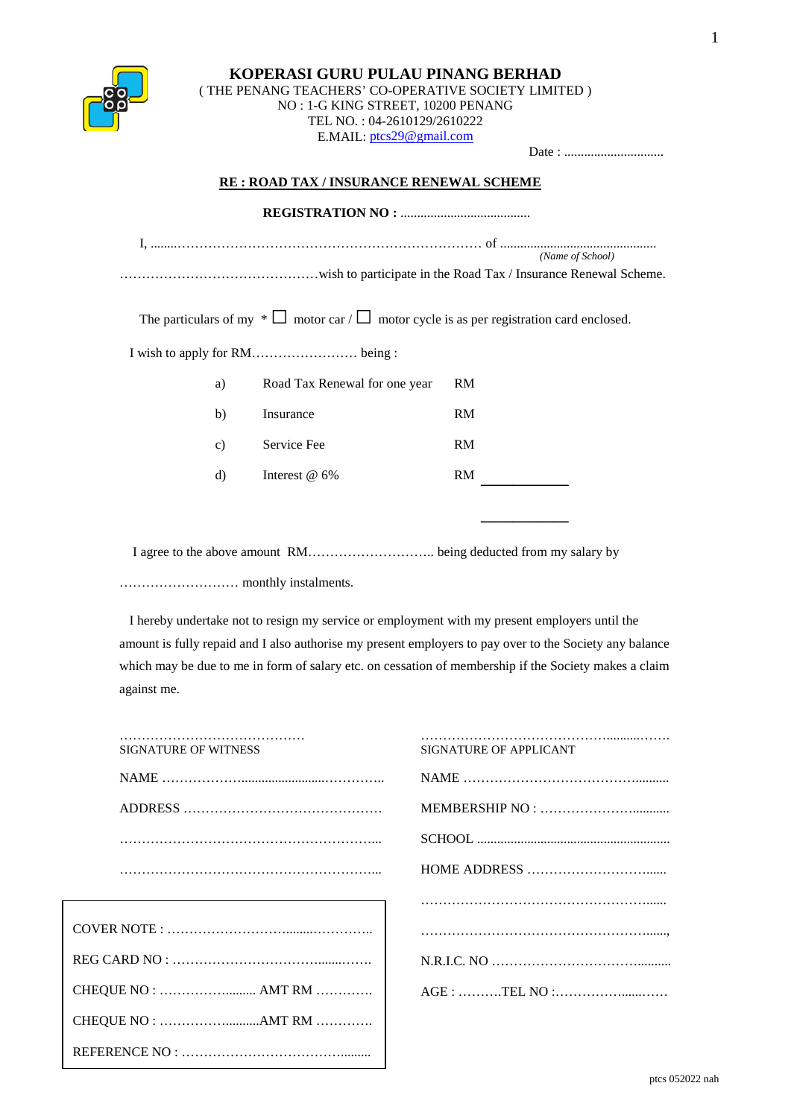## **KOPERASI GURU PULAU PINANG BERHAD** ( THE PENANG TEACHERS' CO-OPERATIVE SOCIETY LIMITED )

NO : 1-G KING STREET, 10200 PENANG

TEL NO. : 04-2610129/2610222

E.MAIL: ptcs29@gmail.com

Date : ..............................

## **RE : ROAD TAX / INSURANCE RENEWAL SCHEME**

|               |                                                                                                     | (Name of School) |
|---------------|-----------------------------------------------------------------------------------------------------|------------------|
|               |                                                                                                     |                  |
|               |                                                                                                     |                  |
|               | The particulars of my $* \Box$ motor car / $\Box$ motor cycle is as per registration card enclosed. |                  |
|               |                                                                                                     |                  |
| a)            | Road Tax Renewal for one year                                                                       | <b>RM</b>        |
| b)            | Insurance                                                                                           | RM               |
| $\mathbf{c})$ | Service Fee                                                                                         | RM               |
| d)            | Interest $@6\%$                                                                                     | RM               |
|               |                                                                                                     |                  |
|               |                                                                                                     |                  |

I agree to the above amount RM……………………….. being deducted from my salary by

……………………… monthly instalments.

REFERENCE NO : ……………………………….........

 I hereby undertake not to resign my service or employment with my present employers until the amount is fully repaid and I also authorise my present employers to pay over to the Society any balance which may be due to me in form of salary etc. on cessation of membership if the Society makes a claim against me.

| <b>SIGNATURE OF WITNESS</b> | SIGNATURE OF APPLICANT |
|-----------------------------|------------------------|
|                             |                        |
|                             |                        |
|                             |                        |
|                             |                        |
|                             |                        |
|                             |                        |
|                             |                        |
| CHEQUE NO :  AMT RM         | AGE : TEL NO :         |
|                             |                        |
|                             |                        |